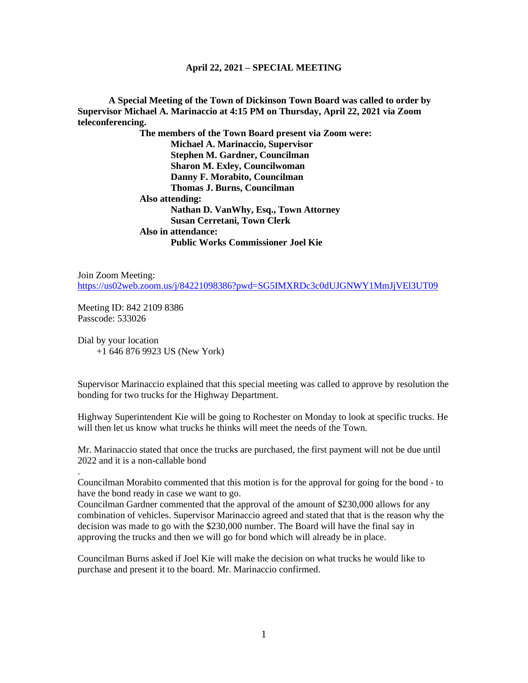## **April 22, 2021 – SPECIAL MEETING**

**A Special Meeting of the Town of Dickinson Town Board was called to order by Supervisor Michael A. Marinaccio at 4:15 PM on Thursday, April 22, 2021 via Zoom teleconferencing.**

> **The members of the Town Board present via Zoom were: Michael A. Marinaccio, Supervisor Stephen M. Gardner, Councilman Sharon M. Exley, Councilwoman Danny F. Morabito, Councilman Thomas J. Burns, Councilman Also attending: Nathan D. VanWhy, Esq., Town Attorney Susan Cerretani, Town Clerk Also in attendance: Public Works Commissioner Joel Kie**

Join Zoom Meeting: <https://us02web.zoom.us/j/84221098386?pwd=SG5IMXRDc3c0dUJGNWY1MmJjVEl3UT09>

Meeting ID: 842 2109 8386 Passcode: 533026

.

Dial by your location +1 646 876 9923 US (New York)

Supervisor Marinaccio explained that this special meeting was called to approve by resolution the bonding for two trucks for the Highway Department.

Highway Superintendent Kie will be going to Rochester on Monday to look at specific trucks. He will then let us know what trucks he thinks will meet the needs of the Town.

Mr. Marinaccio stated that once the trucks are purchased, the first payment will not be due until 2022 and it is a non-callable bond

Councilman Morabito commented that this motion is for the approval for going for the bond - to have the bond ready in case we want to go.

Councilman Gardner commented that the approval of the amount of \$230,000 allows for any combination of vehicles. Supervisor Marinaccio agreed and stated that that is the reason why the decision was made to go with the \$230,000 number. The Board will have the final say in approving the trucks and then we will go for bond which will already be in place.

Councilman Burns asked if Joel Kie will make the decision on what trucks he would like to purchase and present it to the board. Mr. Marinaccio confirmed.